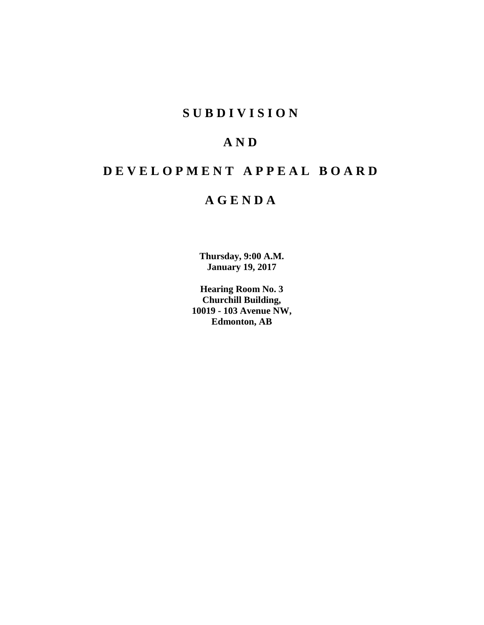## **SUBDIVISION**

## **AND**

# **DEVELOPMENT APPEAL BOARD**

## **AGENDA**

**Thursday, 9:00 A.M. January 19, 2017**

**Hearing Room No. 3 Churchill Building, 10019 - 103 Avenue NW, Edmonton, AB**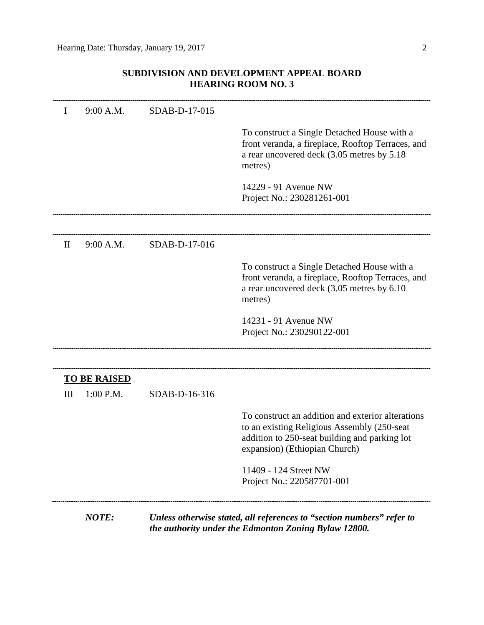## **SUBDIVISION AND DEVELOPMENT APPEAL BOARD HEARING ROOM NO. 3**

| I            | 9:00 A.M.                        | SDAB-D-17-015 |                                                                                                                                                                                    |
|--------------|----------------------------------|---------------|------------------------------------------------------------------------------------------------------------------------------------------------------------------------------------|
|              |                                  |               | To construct a Single Detached House with a<br>front veranda, a fireplace, Rooftop Terraces, and<br>a rear uncovered deck (3.05 metres by 5.18)<br>metres)                         |
|              |                                  |               | 14229 - 91 Avenue NW<br>Project No.: 230281261-001                                                                                                                                 |
| $\mathbf{I}$ | 9:00 A.M.                        | SDAB-D-17-016 |                                                                                                                                                                                    |
|              |                                  |               | To construct a Single Detached House with a<br>front veranda, a fireplace, Rooftop Terraces, and<br>a rear uncovered deck (3.05 metres by 6.10<br>metres)                          |
|              |                                  |               | 14231 - 91 Avenue NW<br>Project No.: 230290122-001                                                                                                                                 |
|              |                                  |               |                                                                                                                                                                                    |
| Ш            | <b>TO BE RAISED</b><br>1:00 P.M. | SDAB-D-16-316 |                                                                                                                                                                                    |
|              |                                  |               | To construct an addition and exterior alterations<br>to an existing Religious Assembly (250-seat<br>addition to 250-seat building and parking lot<br>expansion) (Ethiopian Church) |
|              |                                  |               | 11409 - 124 Street NW<br>Project No.: 220587701-001                                                                                                                                |
|              | NOTE:                            |               | Unless otherwise stated, all references to "section numbers" refer to<br>the authority under the Edmonton Zoning Bylaw 12800.                                                      |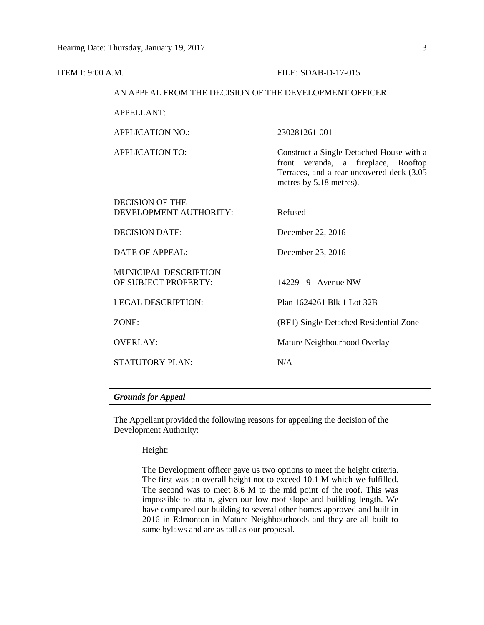| ITEM I: 9:00 A.M. |                                                        | FILE: SDAB-D-17-015                                                                                                                                     |
|-------------------|--------------------------------------------------------|---------------------------------------------------------------------------------------------------------------------------------------------------------|
|                   | AN APPEAL FROM THE DECISION OF THE DEVELOPMENT OFFICER |                                                                                                                                                         |
|                   | <b>APPELLANT:</b>                                      |                                                                                                                                                         |
|                   | <b>APPLICATION NO.:</b>                                | 230281261-001                                                                                                                                           |
|                   | <b>APPLICATION TO:</b>                                 | Construct a Single Detached House with a<br>front veranda, a fireplace, Rooftop<br>Terraces, and a rear uncovered deck (3.05<br>metres by 5.18 metres). |
|                   | <b>DECISION OF THE</b><br>DEVELOPMENT AUTHORITY:       | Refused                                                                                                                                                 |
|                   | <b>DECISION DATE:</b>                                  | December 22, 2016                                                                                                                                       |
|                   | <b>DATE OF APPEAL:</b>                                 | December 23, 2016                                                                                                                                       |
|                   | <b>MUNICIPAL DESCRIPTION</b><br>OF SUBJECT PROPERTY:   | 14229 - 91 Avenue NW                                                                                                                                    |
|                   | <b>LEGAL DESCRIPTION:</b>                              | Plan 1624261 Blk 1 Lot 32B                                                                                                                              |
|                   | ZONE:                                                  | (RF1) Single Detached Residential Zone                                                                                                                  |
|                   | <b>OVERLAY:</b>                                        | Mature Neighbourhood Overlay                                                                                                                            |
|                   | <b>STATUTORY PLAN:</b>                                 | N/A                                                                                                                                                     |
|                   |                                                        |                                                                                                                                                         |

#### *Grounds for Appeal*

The Appellant provided the following reasons for appealing the decision of the Development Authority:

Height:

The Development officer gave us two options to meet the height criteria. The first was an overall height not to exceed 10.1 M which we fulfilled. The second was to meet 8.6 M to the mid point of the roof. This was impossible to attain, given our low roof slope and building length. We have compared our building to several other homes approved and built in 2016 in Edmonton in Mature Neighbourhoods and they are all built to same bylaws and are as tall as our proposal.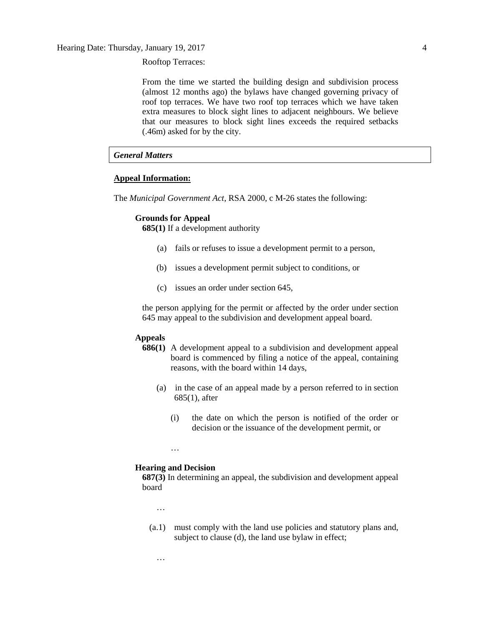Rooftop Terraces:

From the time we started the building design and subdivision process (almost 12 months ago) the bylaws have changed governing privacy of roof top terraces. We have two roof top terraces which we have taken extra measures to block sight lines to adjacent neighbours. We believe that our measures to block sight lines exceeds the required setbacks (.46m) asked for by the city.

#### *General Matters*

#### **Appeal Information:**

The *Municipal Government Act*, RSA 2000, c M-26 states the following:

#### **Grounds for Appeal**

**685(1)** If a development authority

- (a) fails or refuses to issue a development permit to a person,
- (b) issues a development permit subject to conditions, or
- (c) issues an order under section 645,

the person applying for the permit or affected by the order under section 645 may appeal to the subdivision and development appeal board.

#### **Appeals**

- **686(1)** A development appeal to a subdivision and development appeal board is commenced by filing a notice of the appeal, containing reasons, with the board within 14 days,
	- (a) in the case of an appeal made by a person referred to in section 685(1), after
		- (i) the date on which the person is notified of the order or decision or the issuance of the development permit, or

#### **Hearing and Decision**

…

**687(3)** In determining an appeal, the subdivision and development appeal board

…

…

(a.1) must comply with the land use policies and statutory plans and, subject to clause (d), the land use bylaw in effect;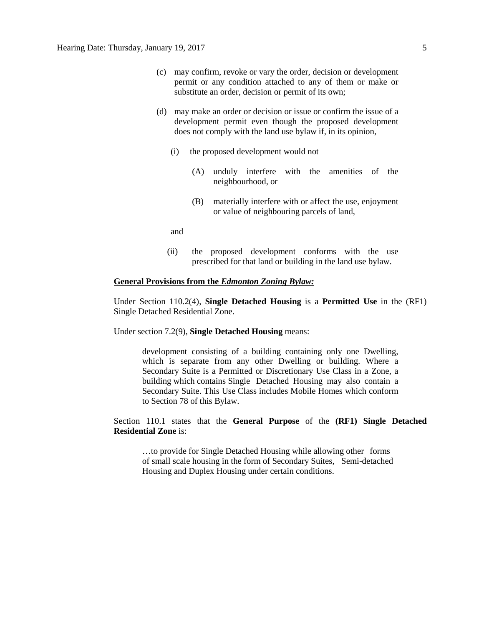- (c) may confirm, revoke or vary the order, decision or development permit or any condition attached to any of them or make or substitute an order, decision or permit of its own;
- (d) may make an order or decision or issue or confirm the issue of a development permit even though the proposed development does not comply with the land use bylaw if, in its opinion,
	- (i) the proposed development would not
		- (A) unduly interfere with the amenities of the neighbourhood, or
		- (B) materially interfere with or affect the use, enjoyment or value of neighbouring parcels of land,

and

(ii) the proposed development conforms with the use prescribed for that land or building in the land use bylaw.

#### **General Provisions from the** *Edmonton Zoning Bylaw:*

Under Section 110.2(4), **Single Detached Housing** is a **Permitted Use** in the (RF1) Single Detached Residential Zone.

Under section 7.2(9), **Single Detached Housing** means:

development consisting of a building containing only one Dwelling, which is separate from any other Dwelling or building. Where a Secondary Suite is a Permitted or Discretionary Use Class in a Zone, a building which contains Single Detached Housing may also contain a Secondary Suite. This Use Class includes Mobile Homes which conform to Section 78 of this Bylaw.

Section 110.1 states that the **General Purpose** of the **(RF1) Single Detached Residential Zone** is:

…to provide for Single Detached Housing while allowing other forms of small scale housing in the form of Secondary Suites, Semi-detached Housing and Duplex Housing under certain conditions.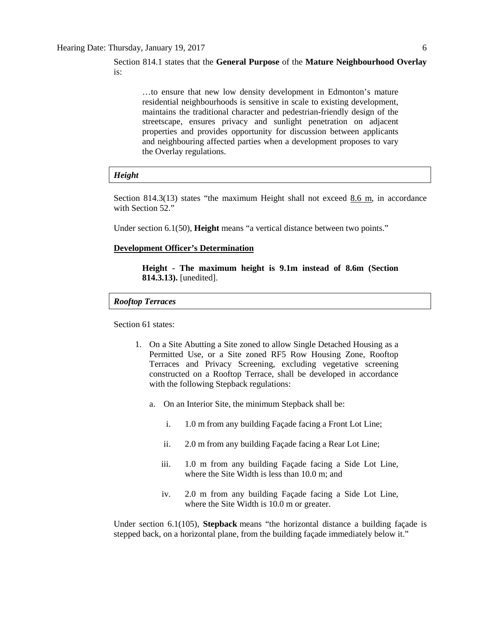Section 814.1 states that the **General Purpose** of the **Mature Neighbourhood Overlay**  is:

…to ensure that new low density development in Edmonton's mature residential neighbourhoods is sensitive in scale to existing development, maintains the traditional character and pedestrian-friendly design of the streetscape, ensures privacy and sunlight penetration on adjacent properties and provides opportunity for discussion between applicants and neighbouring affected parties when a development proposes to vary the Overlay regulations.

#### *Height*

Section 814.3(13) states "the maximum Height shall not exceed 8.6 m, in accordance with Section 52."

Under section 6.1(50), **Height** means "a vertical distance between two points."

#### **Development Officer's Determination**

**Height - The maximum height is 9.1m instead of 8.6m (Section 814.3.13).** [unedited].

#### *Rooftop Terraces*

Section 61 states:

- 1. On a Site Abutting a Site zoned to allow Single Detached Housing as a Permitted Use, or a Site zoned RF5 Row Housing Zone, Rooftop Terraces and Privacy Screening, excluding vegetative screening constructed on a Rooftop Terrace, shall be developed in accordance with the following Stepback regulations:
	- a. On an Interior Site, the minimum Stepback shall be:
		- i. 1.0 m from any building Façade facing a Front Lot Line;
		- ii. 2.0 m from any building Façade facing a Rear Lot Line;
		- iii. 1.0 m from any building Façade facing a Side Lot Line, where the Site Width is less than 10.0 m; and
		- iv. 2.0 m from any building Façade facing a Side Lot Line, where the Site Width is 10.0 m or greater.

Under section 6.1(105), **Stepback** means "the horizontal distance a building façade is stepped back, on a horizontal plane, from the building façade immediately below it."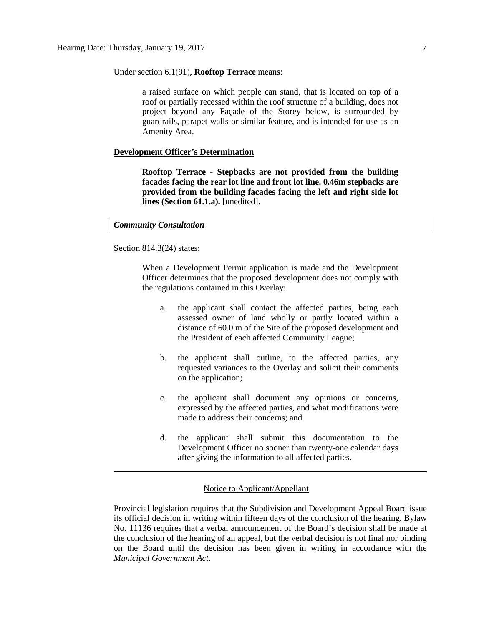Under section 6.1(91), **Rooftop Terrace** means:

a raised surface on which people can stand, that is located on top of a roof or partially recessed within the roof structure of a building, does not project beyond any Façade of the Storey below, is surrounded by guardrails, parapet walls or similar feature, and is intended for use as an Amenity Area.

#### **Development Officer's Determination**

**Rooftop Terrace - Stepbacks are not provided from the building facades facing the rear lot line and front lot line. 0.46m stepbacks are provided from the building facades facing the left and right side lot lines (Section 61.1.a).** [unedited].

#### *Community Consultation*

Section 814.3(24) states:

When a Development Permit application is made and the Development Officer determines that the proposed development does not comply with the regulations contained in this Overlay:

- a. the applicant shall contact the affected parties, being each assessed owner of land wholly or partly located within a distance of [60.0](javascript:void(0);) m of the Site of the proposed development and the President of each affected Community League;
- b. the applicant shall outline, to the affected parties, any requested variances to the Overlay and solicit their comments on the application;
- c. the applicant shall document any opinions or concerns, expressed by the affected parties, and what modifications were made to address their concerns; and
- d. the applicant shall submit this documentation to the Development Officer no sooner than twenty-one calendar days after giving the information to all affected parties.

#### Notice to Applicant/Appellant

Provincial legislation requires that the Subdivision and Development Appeal Board issue its official decision in writing within fifteen days of the conclusion of the hearing. Bylaw No. 11136 requires that a verbal announcement of the Board's decision shall be made at the conclusion of the hearing of an appeal, but the verbal decision is not final nor binding on the Board until the decision has been given in writing in accordance with the *Municipal Government Act*.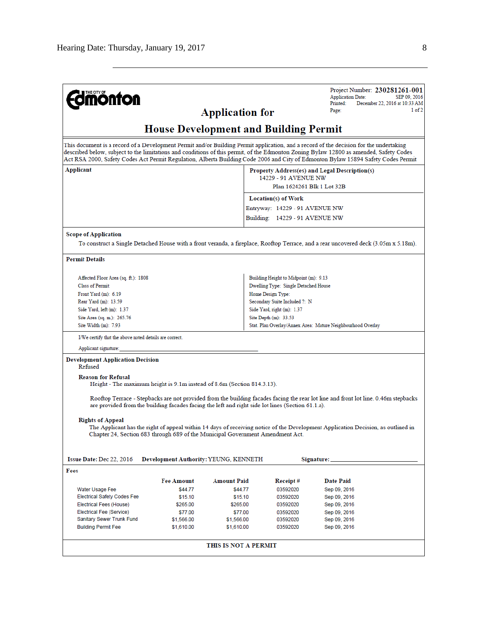|                                                                                                           |                                              |                          |                                       | Project Number: 230281261-001                                                                                                                                                                                                                                                                                                                                                                                         |  |
|-----------------------------------------------------------------------------------------------------------|----------------------------------------------|--------------------------|---------------------------------------|-----------------------------------------------------------------------------------------------------------------------------------------------------------------------------------------------------------------------------------------------------------------------------------------------------------------------------------------------------------------------------------------------------------------------|--|
| <b>mönton</b>                                                                                             |                                              |                          |                                       | <b>Application Date:</b><br>SEP 09, 2016                                                                                                                                                                                                                                                                                                                                                                              |  |
|                                                                                                           |                                              |                          |                                       | December 22, 2016 at 10:33 AM<br>Printed:<br>1 of 2<br>Page:                                                                                                                                                                                                                                                                                                                                                          |  |
|                                                                                                           |                                              | <b>Application for</b>   |                                       |                                                                                                                                                                                                                                                                                                                                                                                                                       |  |
|                                                                                                           | <b>House Development and Building Permit</b> |                          |                                       |                                                                                                                                                                                                                                                                                                                                                                                                                       |  |
|                                                                                                           |                                              |                          |                                       | This document is a record of a Development Permit and/or Building Permit application, and a record of the decision for the undertaking<br>described below, subject to the limitations and conditions of this permit, of the Edmonton Zoning Bylaw 12800 as amended, Safety Codes<br>Act RSA 2000, Safety Codes Act Permit Regulation, Alberta Building Code 2006 and City of Edmonton Bylaw 15894 Safety Codes Permit |  |
| Applicant                                                                                                 |                                              |                          |                                       | Property Address(es) and Legal Description(s)                                                                                                                                                                                                                                                                                                                                                                         |  |
|                                                                                                           |                                              |                          | 14229 - 91 AVENUE NW                  |                                                                                                                                                                                                                                                                                                                                                                                                                       |  |
|                                                                                                           |                                              |                          |                                       | Plan 1624261 Blk 1 Lot 32B                                                                                                                                                                                                                                                                                                                                                                                            |  |
|                                                                                                           |                                              |                          | Location(s) of Work                   |                                                                                                                                                                                                                                                                                                                                                                                                                       |  |
|                                                                                                           |                                              |                          | Entryway: 14229 - 91 AVENUE NW        |                                                                                                                                                                                                                                                                                                                                                                                                                       |  |
|                                                                                                           |                                              |                          | Building: 14229 - 91 AVENUE NW        |                                                                                                                                                                                                                                                                                                                                                                                                                       |  |
| <b>Scope of Application</b>                                                                               |                                              |                          |                                       |                                                                                                                                                                                                                                                                                                                                                                                                                       |  |
|                                                                                                           |                                              |                          |                                       | To construct a Single Detached House with a front veranda, a fireplace, Rooftop Terrace, and a rear uncovered deck (3.05m x 5.18m).                                                                                                                                                                                                                                                                                   |  |
| <b>Permit Details</b>                                                                                     |                                              |                          |                                       |                                                                                                                                                                                                                                                                                                                                                                                                                       |  |
| Affected Floor Area (sq. ft.): 1808                                                                       |                                              |                          | Building Height to Midpoint (m): 9.13 |                                                                                                                                                                                                                                                                                                                                                                                                                       |  |
| <b>Class of Permit:</b>                                                                                   |                                              |                          | Dwelling Type: Single Detached House  |                                                                                                                                                                                                                                                                                                                                                                                                                       |  |
| Front Yard (m): 6.19                                                                                      |                                              |                          | Home Design Type:                     |                                                                                                                                                                                                                                                                                                                                                                                                                       |  |
| Rear Yard (m): 13.59                                                                                      |                                              |                          | Secondary Suite Included ?: N         |                                                                                                                                                                                                                                                                                                                                                                                                                       |  |
| Side Yard, left (m): 1.37<br>Side Yard, right (m): 1.37                                                   |                                              |                          |                                       |                                                                                                                                                                                                                                                                                                                                                                                                                       |  |
| Site Area (sq. m.): 265.76                                                                                |                                              |                          | Site Depth $(m)$ : 33.53              |                                                                                                                                                                                                                                                                                                                                                                                                                       |  |
| Site Width (m): 7.93                                                                                      |                                              |                          |                                       | Stat. Plan Overlay/Annex Area: Mature Neighbourhood Overlay                                                                                                                                                                                                                                                                                                                                                           |  |
| I/We certify that the above noted details are correct.                                                    |                                              |                          |                                       |                                                                                                                                                                                                                                                                                                                                                                                                                       |  |
| Applicant signature:                                                                                      |                                              |                          |                                       |                                                                                                                                                                                                                                                                                                                                                                                                                       |  |
| <b>Development Application Decision</b><br>Refused                                                        |                                              |                          |                                       |                                                                                                                                                                                                                                                                                                                                                                                                                       |  |
| <b>Reason for Refusal</b><br>Height - The maximum height is 9.1m instead of 8.6m (Section 814.3.13).      |                                              |                          |                                       |                                                                                                                                                                                                                                                                                                                                                                                                                       |  |
|                                                                                                           |                                              |                          |                                       | Rooftop Terrace - Stepbacks are not provided from the building facades facing the rear lot line and front lot line. 0.46m stepbacks                                                                                                                                                                                                                                                                                   |  |
| are provided from the building facades facing the left and right side lot lines (Section 61.1.a).         |                                              |                          |                                       |                                                                                                                                                                                                                                                                                                                                                                                                                       |  |
| <b>Rights of Appeal</b><br>Chapter 24, Section 683 through 689 of the Municipal Government Amendment Act. |                                              |                          |                                       | The Applicant has the right of appeal within 14 days of receiving notice of the Development Application Decision, as outlined in                                                                                                                                                                                                                                                                                      |  |
| Issue Date: Dec 22, 2016                                                                                  | Development Authority: YEUNG, KENNETH        |                          |                                       | Signature: _                                                                                                                                                                                                                                                                                                                                                                                                          |  |
| Fees                                                                                                      |                                              |                          |                                       |                                                                                                                                                                                                                                                                                                                                                                                                                       |  |
|                                                                                                           | <b>Fee Amount</b>                            | Amount Paid              | Receipt#                              | <b>Date Paid</b>                                                                                                                                                                                                                                                                                                                                                                                                      |  |
| Water Usage Fee                                                                                           | \$44.77                                      | \$44.77                  | 03592020                              | Sep 09, 2016                                                                                                                                                                                                                                                                                                                                                                                                          |  |
| <b>Electrical Safety Codes Fee</b>                                                                        | \$15.10                                      | \$15.10                  | 03592020                              | Sep 09, 2016                                                                                                                                                                                                                                                                                                                                                                                                          |  |
| Electrical Fees (House)                                                                                   | \$265.00                                     | \$265.00                 | 03592020                              | Sep 09, 2016                                                                                                                                                                                                                                                                                                                                                                                                          |  |
| Electrical Fee (Service)                                                                                  | \$77.00                                      | \$77.00                  | 03592020                              | Sep 09, 2016                                                                                                                                                                                                                                                                                                                                                                                                          |  |
| Sanitary Sewer Trunk Fund<br><b>Building Permit Fee</b>                                                   | \$1,566.00<br>\$1,610.00                     | \$1,566.00<br>\$1,610.00 | 03592020<br>03592020                  | Sep 09, 2016<br>Sep 09, 2016                                                                                                                                                                                                                                                                                                                                                                                          |  |
|                                                                                                           |                                              |                          |                                       |                                                                                                                                                                                                                                                                                                                                                                                                                       |  |
|                                                                                                           |                                              | THIS IS NOT A PERMIT     |                                       |                                                                                                                                                                                                                                                                                                                                                                                                                       |  |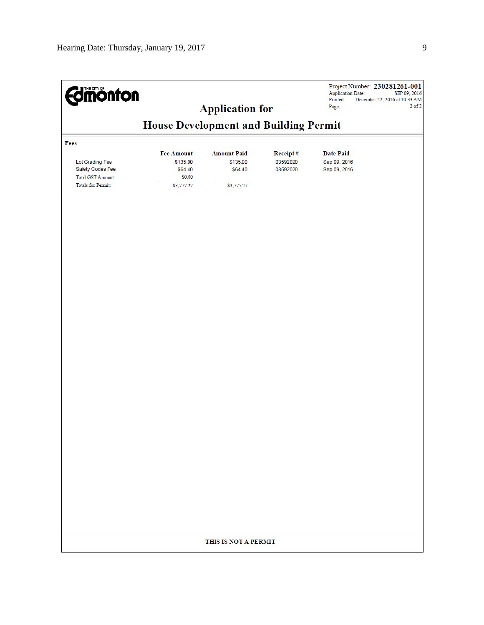| <b>Edmonton</b>           |                                              | <b>Application for</b> |          | Project Number: 230281261-001<br><b>Application Date:</b><br>Printed:<br>December 22, 2016 at 10:33 AM<br>Page: | SEP 09, 2016<br>$2$ of $2$ |
|---------------------------|----------------------------------------------|------------------------|----------|-----------------------------------------------------------------------------------------------------------------|----------------------------|
|                           | <b>House Development and Building Permit</b> |                        |          |                                                                                                                 |                            |
| Fees                      |                                              |                        |          |                                                                                                                 |                            |
|                           | <b>Fee Amount</b>                            | <b>Amount Paid</b>     | Receipt# | <b>Date Paid</b>                                                                                                |                            |
| Lot Grading Fee           | \$135.00                                     | \$135.00               | 03592020 | Sep 09, 2016                                                                                                    |                            |
| Safety Codes Fee          | \$64.40                                      | \$64.40                | 03592020 | Sep 09, 2016                                                                                                    |                            |
| Total GST Amount:         | \$0.00                                       |                        |          |                                                                                                                 |                            |
| <b>Totals for Permit:</b> | \$3,777.27                                   | \$3,777.27             |          |                                                                                                                 |                            |
|                           |                                              |                        |          |                                                                                                                 |                            |
|                           |                                              |                        |          |                                                                                                                 |                            |
|                           |                                              |                        |          |                                                                                                                 |                            |
|                           |                                              |                        |          |                                                                                                                 |                            |
|                           |                                              |                        |          |                                                                                                                 |                            |
|                           |                                              |                        |          |                                                                                                                 |                            |
|                           |                                              |                        |          |                                                                                                                 |                            |
|                           |                                              |                        |          |                                                                                                                 |                            |
|                           |                                              |                        |          |                                                                                                                 |                            |
|                           |                                              |                        |          |                                                                                                                 |                            |
|                           |                                              |                        |          |                                                                                                                 |                            |
|                           |                                              |                        |          |                                                                                                                 |                            |
|                           |                                              |                        |          |                                                                                                                 |                            |
|                           |                                              |                        |          |                                                                                                                 |                            |
|                           |                                              |                        |          |                                                                                                                 |                            |
|                           |                                              |                        |          |                                                                                                                 |                            |
|                           |                                              |                        |          |                                                                                                                 |                            |
|                           |                                              |                        |          |                                                                                                                 |                            |
|                           |                                              |                        |          |                                                                                                                 |                            |
|                           |                                              |                        |          |                                                                                                                 |                            |
|                           |                                              |                        |          |                                                                                                                 |                            |
|                           |                                              |                        |          |                                                                                                                 |                            |
|                           |                                              |                        |          |                                                                                                                 |                            |
|                           |                                              |                        |          |                                                                                                                 |                            |
|                           |                                              |                        |          |                                                                                                                 |                            |
|                           |                                              | THIS IS NOT A PERMIT   |          |                                                                                                                 |                            |
|                           |                                              |                        |          |                                                                                                                 |                            |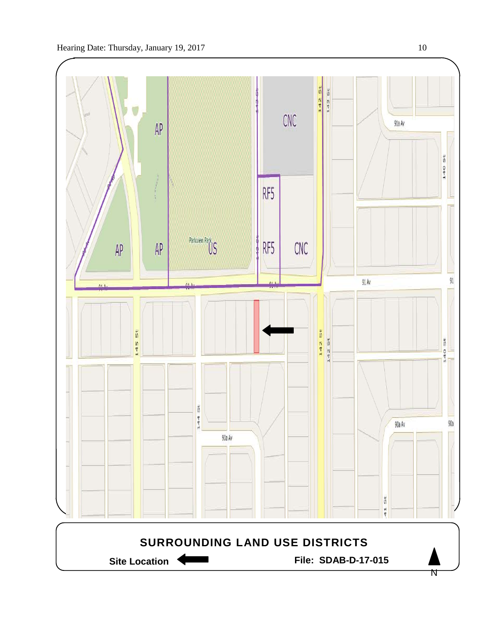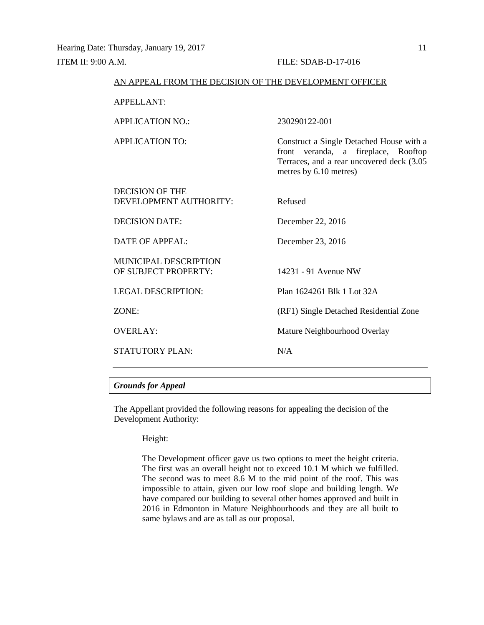| AN APPEAL FROM THE DECISION OF THE DEVELOPMENT OFFICER |                                                                                                                                                        |
|--------------------------------------------------------|--------------------------------------------------------------------------------------------------------------------------------------------------------|
| <b>APPELLANT:</b>                                      |                                                                                                                                                        |
| <b>APPLICATION NO.:</b>                                | 230290122-001                                                                                                                                          |
| <b>APPLICATION TO:</b>                                 | Construct a Single Detached House with a<br>front veranda, a fireplace, Rooftop<br>Terraces, and a rear uncovered deck (3.05<br>metres by 6.10 metres) |
| <b>DECISION OF THE</b><br>DEVELOPMENT AUTHORITY:       | Refused                                                                                                                                                |
| <b>DECISION DATE:</b>                                  | December 22, 2016                                                                                                                                      |
| DATE OF APPEAL:                                        | December 23, 2016                                                                                                                                      |
| <b>MUNICIPAL DESCRIPTION</b><br>OF SUBJECT PROPERTY:   | 14231 - 91 Avenue NW                                                                                                                                   |
| <b>LEGAL DESCRIPTION:</b>                              | Plan 1624261 Blk 1 Lot 32A                                                                                                                             |
| ZONE:                                                  | (RF1) Single Detached Residential Zone                                                                                                                 |
| <b>OVERLAY:</b>                                        | Mature Neighbourhood Overlay                                                                                                                           |
| <b>STATUTORY PLAN:</b>                                 | N/A                                                                                                                                                    |

#### *Grounds for Appeal*

The Appellant provided the following reasons for appealing the decision of the Development Authority:

#### Height:

The Development officer gave us two options to meet the height criteria. The first was an overall height not to exceed 10.1 M which we fulfilled. The second was to meet 8.6 M to the mid point of the roof. This was impossible to attain, given our low roof slope and building length. We have compared our building to several other homes approved and built in 2016 in Edmonton in Mature Neighbourhoods and they are all built to same bylaws and are as tall as our proposal.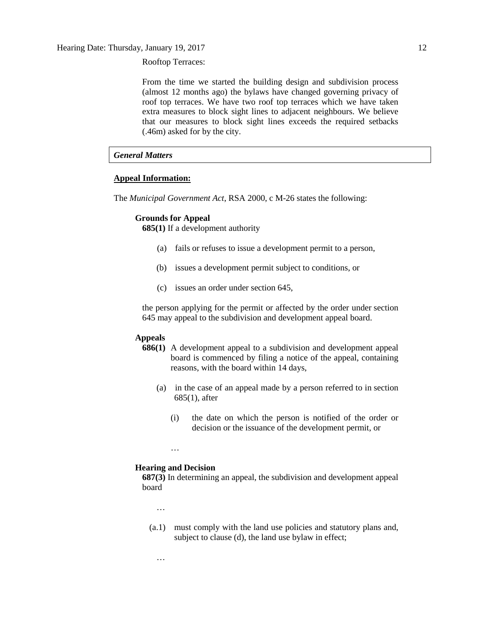Rooftop Terraces:

From the time we started the building design and subdivision process (almost 12 months ago) the bylaws have changed governing privacy of roof top terraces. We have two roof top terraces which we have taken extra measures to block sight lines to adjacent neighbours. We believe that our measures to block sight lines exceeds the required setbacks (.46m) asked for by the city.

#### *General Matters*

#### **Appeal Information:**

The *Municipal Government Act*, RSA 2000, c M-26 states the following:

#### **Grounds for Appeal**

**685(1)** If a development authority

- (a) fails or refuses to issue a development permit to a person,
- (b) issues a development permit subject to conditions, or
- (c) issues an order under section 645,

the person applying for the permit or affected by the order under section 645 may appeal to the subdivision and development appeal board.

#### **Appeals**

- **686(1)** A development appeal to a subdivision and development appeal board is commenced by filing a notice of the appeal, containing reasons, with the board within 14 days,
	- (a) in the case of an appeal made by a person referred to in section 685(1), after
		- (i) the date on which the person is notified of the order or decision or the issuance of the development permit, or

#### **Hearing and Decision**

…

**687(3)** In determining an appeal, the subdivision and development appeal board

…

…

(a.1) must comply with the land use policies and statutory plans and, subject to clause (d), the land use bylaw in effect;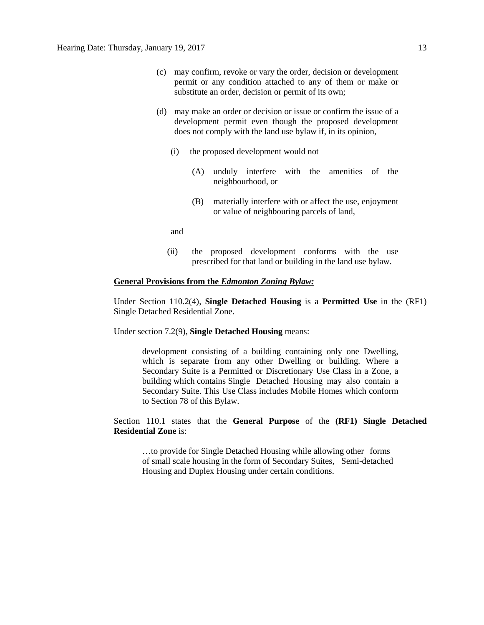- (c) may confirm, revoke or vary the order, decision or development permit or any condition attached to any of them or make or substitute an order, decision or permit of its own;
- (d) may make an order or decision or issue or confirm the issue of a development permit even though the proposed development does not comply with the land use bylaw if, in its opinion,
	- (i) the proposed development would not
		- (A) unduly interfere with the amenities of the neighbourhood, or
		- (B) materially interfere with or affect the use, enjoyment or value of neighbouring parcels of land,

and

(ii) the proposed development conforms with the use prescribed for that land or building in the land use bylaw.

#### **General Provisions from the** *Edmonton Zoning Bylaw:*

Under Section 110.2(4), **Single Detached Housing** is a **Permitted Use** in the (RF1) Single Detached Residential Zone.

Under section 7.2(9), **Single Detached Housing** means:

development consisting of a building containing only one Dwelling, which is separate from any other Dwelling or building. Where a Secondary Suite is a Permitted or Discretionary Use Class in a Zone, a building which contains Single Detached Housing may also contain a Secondary Suite. This Use Class includes Mobile Homes which conform to Section 78 of this Bylaw.

Section 110.1 states that the **General Purpose** of the **(RF1) Single Detached Residential Zone** is:

…to provide for Single Detached Housing while allowing other forms of small scale housing in the form of Secondary Suites, Semi-detached Housing and Duplex Housing under certain conditions.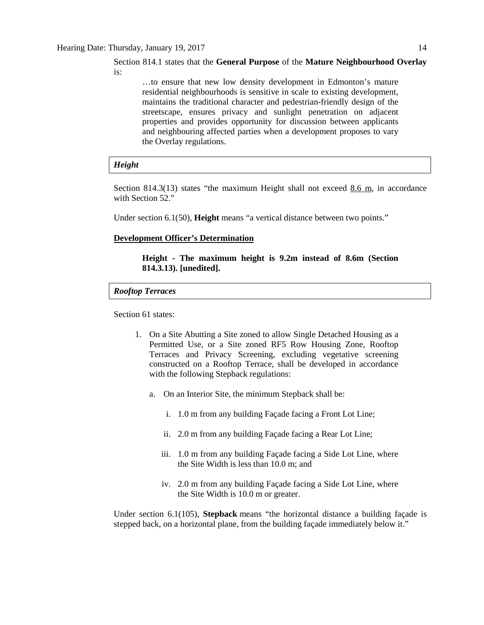#### Section 814.1 states that the **General Purpose** of the **Mature Neighbourhood Overlay**  is:

…to ensure that new low density development in Edmonton's mature residential neighbourhoods is sensitive in scale to existing development, maintains the traditional character and pedestrian-friendly design of the streetscape, ensures privacy and sunlight penetration on adjacent properties and provides opportunity for discussion between applicants and neighbouring affected parties when a development proposes to vary the Overlay regulations.

#### *Height*

Section 814.3(13) states "the maximum Height shall not exceed 8.6 m, in accordance with Section 52."

Under section 6.1(50), **Height** means "a vertical distance between two points."

#### **Development Officer's Determination**

#### **Height - The maximum height is 9.2m instead of 8.6m (Section 814.3.13). [unedited].**

#### *Rooftop Terraces*

Section 61 states:

- 1. On a Site Abutting a Site zoned to allow Single Detached Housing as a Permitted Use, or a Site zoned RF5 Row Housing Zone, Rooftop Terraces and Privacy Screening, excluding vegetative screening constructed on a Rooftop Terrace, shall be developed in accordance with the following Stepback regulations:
	- a. On an Interior Site, the minimum Stepback shall be:
		- i. 1.0 m from any building Façade facing a Front Lot Line;
		- ii. 2.0 m from any building Façade facing a Rear Lot Line;
		- iii. 1.0 m from any building Façade facing a Side Lot Line, where the Site Width is less than 10.0 m; and
		- iv. 2.0 m from any building Façade facing a Side Lot Line, where the Site Width is 10.0 m or greater.

Under section 6.1(105), **Stepback** means "the horizontal distance a building façade is stepped back, on a horizontal plane, from the building façade immediately below it."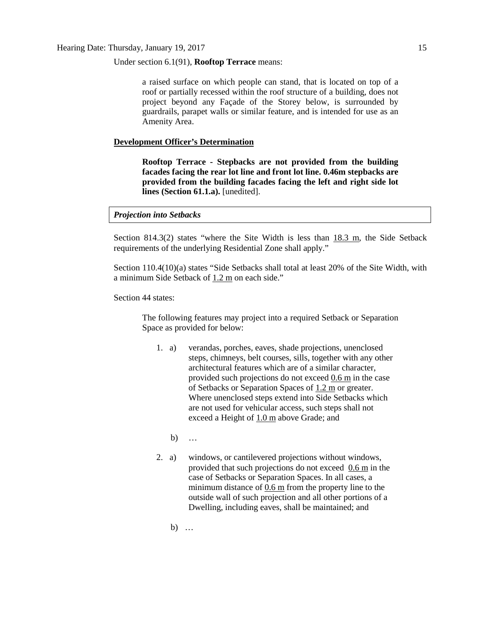Under section 6.1(91), **Rooftop Terrace** means:

a raised surface on which people can stand, that is located on top of a roof or partially recessed within the roof structure of a building, does not project beyond any Façade of the Storey below, is surrounded by guardrails, parapet walls or similar feature, and is intended for use as an Amenity Area.

#### **Development Officer's Determination**

**Rooftop Terrace - Stepbacks are not provided from the building facades facing the rear lot line and front lot line. 0.46m stepbacks are provided from the building facades facing the left and right side lot lines (Section 61.1.a).** [unedited].

#### *Projection into Setbacks*

Section 814.3(2) states "where the Site Width is less than  $18.3$  m, the Side Setback requirements of the underlying Residential Zone shall apply."

Section 110.4(10)(a) states "Side Setbacks shall total at least 20% of the Site Width, with a minimum Side Setback of 1.2 m on each side."

Section 44 states:

The following features may project into a required Setback or Separation Space as provided for below:

- 1. a) verandas, porches, eaves, shade projections, unenclosed steps, chimneys, belt courses, sills, together with any other architectural features which are of a similar character, provided such projections do not exceed  $0.6$  m in the case of Setbacks or Separation Spaces of [1.2 m](javascript:void(0);) or greater. Where unenclosed steps extend into Side Setbacks which are not used for vehicular access, such steps shall not exceed a Height of [1.0 m](javascript:void(0);) above Grade; and
	- b) …
- 2. a) windows, or cantilevered projections without windows, provided that such projections do not exceed [0.6 m](javascript:void(0);) in the case of Setbacks or Separation Spaces. In all cases, a minimum distance of [0.6 m](javascript:void(0);) from the property line to the outside wall of such projection and all other portions of a Dwelling, including eaves, shall be maintained; and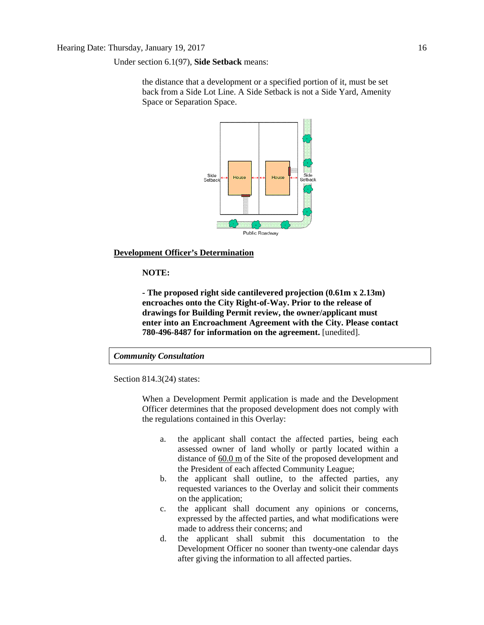Under section 6.1(97), **Side Setback** means:

the distance that a development or a specified portion of it, must be set back from a Side Lot Line. A Side Setback is not a Side Yard, Amenity Space or Separation Space.



#### **Development Officer's Determination**

#### **NOTE:**

**- The proposed right side cantilevered projection (0.61m x 2.13m) encroaches onto the City Right-of-Way. Prior to the release of drawings for Building Permit review, the owner/applicant must enter into an Encroachment Agreement with the City. Please contact 780-496-8487 for information on the agreement.** [unedited].

#### *Community Consultation*

Section 814.3(24) states:

When a Development Permit application is made and the Development Officer determines that the proposed development does not comply with the regulations contained in this Overlay:

- a. the applicant shall contact the affected parties, being each assessed owner of land wholly or partly located within a distance of  $60.0 \text{ m}$  $60.0 \text{ m}$  of the Site of the proposed development and the President of each affected Community League;
- b. the applicant shall outline, to the affected parties, any requested variances to the Overlay and solicit their comments on the application;
- c. the applicant shall document any opinions or concerns, expressed by the affected parties, and what modifications were made to address their concerns; and
- d. the applicant shall submit this documentation to the Development Officer no sooner than twenty-one calendar days after giving the information to all affected parties.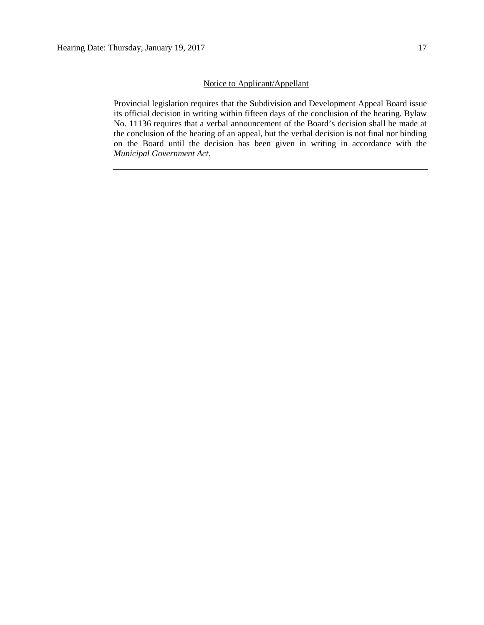### Notice to Applicant/Appellant

Provincial legislation requires that the Subdivision and Development Appeal Board issue its official decision in writing within fifteen days of the conclusion of the hearing. Bylaw No. 11136 requires that a verbal announcement of the Board's decision shall be made at the conclusion of the hearing of an appeal, but the verbal decision is not final nor binding on the Board until the decision has been given in writing in accordance with the *Municipal Government Act*.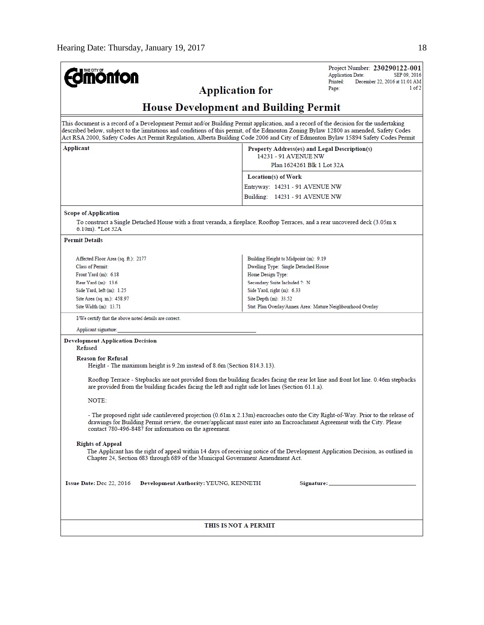| <b>mönton</b><br><b>Application for</b>                                                                                                                                                                                                                                                                                                                                                                               | Project Number: 230290122-001<br><b>Application Date:</b><br>SEP 09, 2016<br>Printed:<br>December 22, 2016 at 11:01 AM<br>1 of 2<br>Page:                                                                                                                    |
|-----------------------------------------------------------------------------------------------------------------------------------------------------------------------------------------------------------------------------------------------------------------------------------------------------------------------------------------------------------------------------------------------------------------------|--------------------------------------------------------------------------------------------------------------------------------------------------------------------------------------------------------------------------------------------------------------|
|                                                                                                                                                                                                                                                                                                                                                                                                                       | <b>House Development and Building Permit</b>                                                                                                                                                                                                                 |
| This document is a record of a Development Permit and/or Building Permit application, and a record of the decision for the undertaking<br>described below, subject to the limitations and conditions of this permit, of the Edmonton Zoning Bylaw 12800 as amended, Safety Codes<br>Act RSA 2000, Safety Codes Act Permit Regulation, Alberta Building Code 2006 and City of Edmonton Bylaw 15894 Safety Codes Permit |                                                                                                                                                                                                                                                              |
| Applicant                                                                                                                                                                                                                                                                                                                                                                                                             | Property Address(es) and Legal Description(s)<br>14231 - 91 AVENUE NW<br>Plan 1624261 Blk 1 Lot 32A                                                                                                                                                          |
|                                                                                                                                                                                                                                                                                                                                                                                                                       |                                                                                                                                                                                                                                                              |
|                                                                                                                                                                                                                                                                                                                                                                                                                       | Location(s) of Work                                                                                                                                                                                                                                          |
|                                                                                                                                                                                                                                                                                                                                                                                                                       | Entryway: 14231 - 91 AVENUE NW                                                                                                                                                                                                                               |
|                                                                                                                                                                                                                                                                                                                                                                                                                       | Building: 14231 - 91 AVENUE NW                                                                                                                                                                                                                               |
| <b>Scope of Application</b><br>To construct a Single Detached House with a front veranda, a fireplace, Rooftop Terraces, and a rear uncovered deck (3.05m x<br>$6.10m$ ). $*$ Lot 32A                                                                                                                                                                                                                                 |                                                                                                                                                                                                                                                              |
| <b>Permit Details</b>                                                                                                                                                                                                                                                                                                                                                                                                 |                                                                                                                                                                                                                                                              |
|                                                                                                                                                                                                                                                                                                                                                                                                                       |                                                                                                                                                                                                                                                              |
| Affected Floor Area (sq. ft.): 2177                                                                                                                                                                                                                                                                                                                                                                                   | Building Height to Midpoint (m): 9.19                                                                                                                                                                                                                        |
| <b>Class of Permit:</b>                                                                                                                                                                                                                                                                                                                                                                                               | Dwelling Type: Single Detached House                                                                                                                                                                                                                         |
| Front Yard $(m)$ : 6.18<br>Rear Yard (m): 13.6                                                                                                                                                                                                                                                                                                                                                                        | Home Design Type:<br>Secondary Suite Included ?: N                                                                                                                                                                                                           |
| Side Yard, left (m): 1.25                                                                                                                                                                                                                                                                                                                                                                                             | Side Yard, right (m): 6.33                                                                                                                                                                                                                                   |
| Site Area (sq. m.): 458.97                                                                                                                                                                                                                                                                                                                                                                                            | Site Depth (m): 33.52                                                                                                                                                                                                                                        |
| Site Width (m): 13.71                                                                                                                                                                                                                                                                                                                                                                                                 | Stat. Plan Overlay/Annex Area: Mature Neighbourhood Overlay                                                                                                                                                                                                  |
| I/We certify that the above noted details are correct.                                                                                                                                                                                                                                                                                                                                                                |                                                                                                                                                                                                                                                              |
| Applicant signature:                                                                                                                                                                                                                                                                                                                                                                                                  |                                                                                                                                                                                                                                                              |
| <b>Development Application Decision</b><br>Refused                                                                                                                                                                                                                                                                                                                                                                    |                                                                                                                                                                                                                                                              |
| <b>Reason for Refusal</b><br>Height - The maximum height is 9.2m instead of 8.6m (Section 814.3.13).                                                                                                                                                                                                                                                                                                                  |                                                                                                                                                                                                                                                              |
| are provided from the building facades facing the left and right side lot lines (Section 61.1.a).                                                                                                                                                                                                                                                                                                                     | Rooftop Terrace - Stepbacks are not provided from the building facades facing the rear lot line and front lot line. 0.46m stepbacks                                                                                                                          |
| NOTE:                                                                                                                                                                                                                                                                                                                                                                                                                 |                                                                                                                                                                                                                                                              |
| contact 780-496-8487 for information on the agreement.                                                                                                                                                                                                                                                                                                                                                                | - The proposed right side cantilevered projection (0.61m x 2.13m) encroaches onto the City Right-of-Way. Prior to the release of<br>drawings for Building Permit review, the owner/applicant must enter into an Encroachment Agreement with the City. Please |
| <b>Rights of Appeal</b><br>Chapter 24, Section 683 through 689 of the Municipal Government Amendment Act.                                                                                                                                                                                                                                                                                                             | The Applicant has the right of appeal within 14 days of receiving notice of the Development Application Decision, as outlined in                                                                                                                             |
| Issue Date: Dec 22, 2016<br>Development Authority: YEUNG, KENNETH                                                                                                                                                                                                                                                                                                                                                     |                                                                                                                                                                                                                                                              |
| THIS IS NOT A PERMIT                                                                                                                                                                                                                                                                                                                                                                                                  |                                                                                                                                                                                                                                                              |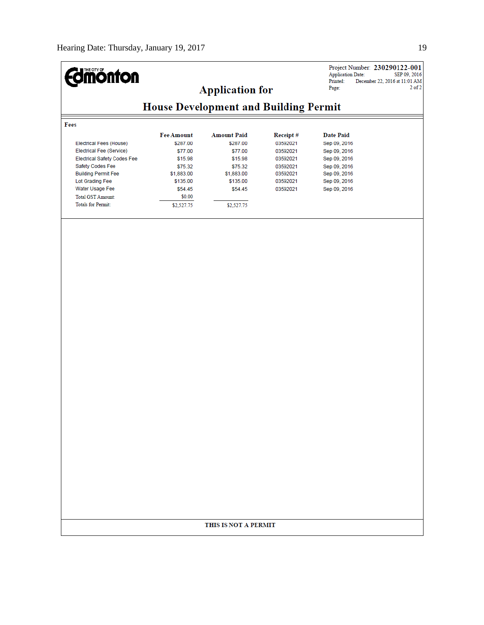| <b>Imónton</b>                          |                                              |                        |          | <b>Application Date:</b><br>Printed:<br>Page: | Project Number: 230290122-001<br>SEP 09, 2016<br>December 22, 2016 at 11:01 AM<br>$2$ of $2$ |
|-----------------------------------------|----------------------------------------------|------------------------|----------|-----------------------------------------------|----------------------------------------------------------------------------------------------|
|                                         |                                              | <b>Application for</b> |          |                                               |                                                                                              |
|                                         | <b>House Development and Building Permit</b> |                        |          |                                               |                                                                                              |
| Fees                                    |                                              |                        |          |                                               |                                                                                              |
|                                         | <b>Fee Amount</b>                            | <b>Amount Paid</b>     | Receipt# | <b>Date Paid</b>                              |                                                                                              |
| Electrical Fees (House)                 | \$287.00                                     | \$287.00               | 03592021 | Sep 09, 2016                                  |                                                                                              |
| Electrical Fee (Service)                | \$77.00                                      | \$77.00                | 03592021 | Sep 09, 2016                                  |                                                                                              |
| <b>Electrical Safety Codes Fee</b>      | \$15.98                                      | \$15.98                | 03592021 | Sep 09, 2016                                  |                                                                                              |
| Safety Codes Fee                        | \$75.32                                      | \$75.32                | 03592021 | Sep 09, 2016                                  |                                                                                              |
| <b>Building Permit Fee</b>              | \$1,883.00                                   | \$1,883.00             | 03592021 | Sep 09, 2016                                  |                                                                                              |
| Lot Grading Fee                         | \$135.00                                     | \$135.00               | 03592021 | Sep 09, 2016                                  |                                                                                              |
| Water Usage Fee                         | \$54.45                                      | \$54.45                | 03592021 | Sep 09, 2016                                  |                                                                                              |
| Total GST Amount:<br>Totals for Permit: | \$0.00<br>\$2,527.75                         | \$2,527.75             |          |                                               |                                                                                              |
|                                         |                                              |                        |          |                                               |                                                                                              |
|                                         |                                              |                        |          |                                               |                                                                                              |
|                                         |                                              |                        |          |                                               |                                                                                              |
|                                         |                                              |                        |          |                                               |                                                                                              |
|                                         |                                              |                        |          |                                               |                                                                                              |
|                                         |                                              |                        |          |                                               |                                                                                              |
|                                         |                                              |                        |          |                                               |                                                                                              |
|                                         |                                              |                        |          |                                               |                                                                                              |
|                                         |                                              |                        |          |                                               |                                                                                              |
|                                         |                                              |                        |          |                                               |                                                                                              |
|                                         |                                              |                        |          |                                               |                                                                                              |
|                                         |                                              |                        |          |                                               |                                                                                              |
|                                         |                                              |                        |          |                                               |                                                                                              |
|                                         |                                              |                        |          |                                               |                                                                                              |
|                                         |                                              |                        |          |                                               |                                                                                              |
|                                         |                                              |                        |          |                                               |                                                                                              |
|                                         |                                              |                        |          |                                               |                                                                                              |
|                                         |                                              |                        |          |                                               |                                                                                              |
|                                         |                                              |                        |          |                                               |                                                                                              |
|                                         |                                              |                        |          |                                               |                                                                                              |
|                                         |                                              |                        |          |                                               |                                                                                              |
|                                         |                                              |                        |          |                                               |                                                                                              |
|                                         |                                              |                        |          |                                               |                                                                                              |
|                                         |                                              |                        |          |                                               |                                                                                              |
|                                         |                                              |                        |          |                                               |                                                                                              |
|                                         |                                              |                        |          |                                               |                                                                                              |
|                                         |                                              |                        |          |                                               |                                                                                              |
|                                         |                                              |                        |          |                                               |                                                                                              |
|                                         |                                              |                        |          |                                               |                                                                                              |
|                                         |                                              | THIS IS NOT A PERMIT   |          |                                               |                                                                                              |
|                                         |                                              |                        |          |                                               |                                                                                              |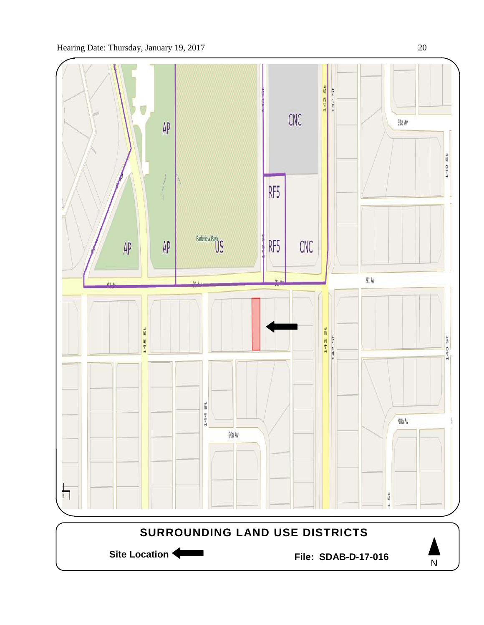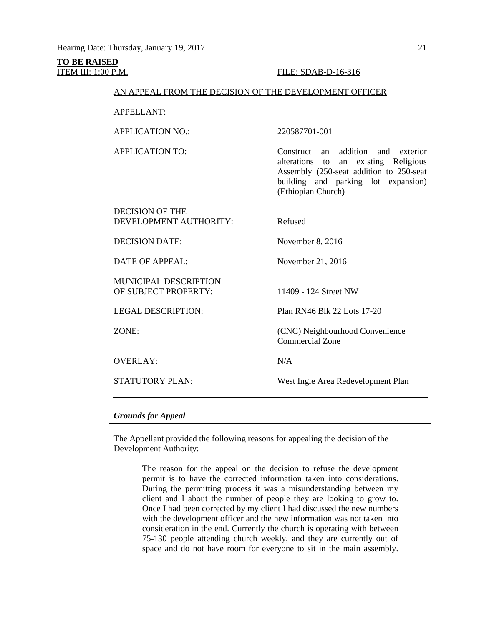# **TO BE RAISED**

#### **ITEM III: 1:00 P.M. FILE: SDAB-D-16-316**

#### AN APPEAL FROM THE DECISION OF THE DEVELOPMENT OFFICER

APPELLANT:

APPLICATION NO.: 220587701-001

APPLICATION TO: Construct an addition and exterior alterations to an existing Religious Assembly (250-seat addition to 250-seat building and parking lot expansion) (Ethiopian Church)

| <b>DECISION OF THE</b><br>DEVELOPMENT AUTHORITY:     | Refused                                            |
|------------------------------------------------------|----------------------------------------------------|
| <b>DECISION DATE:</b>                                | November $8, 2016$                                 |
| DATE OF APPEAL:                                      | November 21, 2016                                  |
| <b>MUNICIPAL DESCRIPTION</b><br>OF SUBJECT PROPERTY: | 11409 - 124 Street NW                              |
| <b>LEGAL DESCRIPTION:</b>                            | Plan RN46 Blk 22 Lots 17-20                        |
| ZONE:                                                | (CNC) Neighbourhood Convenience<br>Commercial Zone |
| <b>OVERLAY:</b>                                      | N/A                                                |
| <b>STATUTORY PLAN:</b>                               | West Ingle Area Redevelopment Plan                 |
|                                                      |                                                    |

*Grounds for Appeal*

The Appellant provided the following reasons for appealing the decision of the Development Authority:

> The reason for the appeal on the decision to refuse the development permit is to have the corrected information taken into considerations. During the permitting process it was a misunderstanding between my client and I about the number of people they are looking to grow to. Once I had been corrected by my client I had discussed the new numbers with the development officer and the new information was not taken into consideration in the end. Currently the church is operating with between 75-130 people attending church weekly, and they are currently out of space and do not have room for everyone to sit in the main assembly.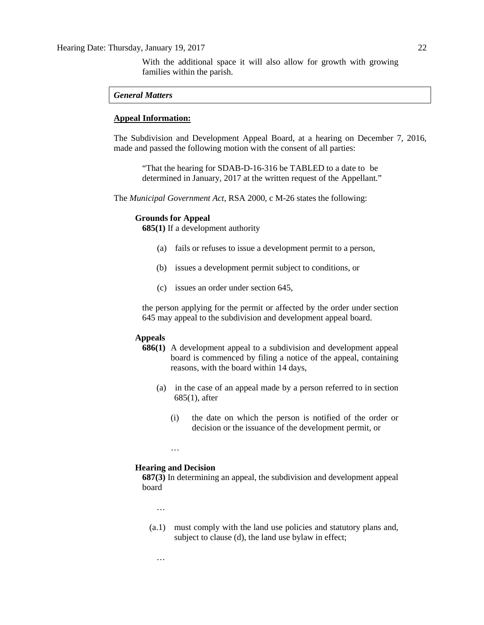With the additional space it will also allow for growth with growing families within the parish.

#### *General Matters*

#### **Appeal Information:**

The Subdivision and Development Appeal Board, at a hearing on December 7, 2016, made and passed the following motion with the consent of all parties:

"That the hearing for SDAB-D-16-316 be TABLED to a date to be determined in January, 2017 at the written request of the Appellant."

The *Municipal Government Act*, RSA 2000, c M-26 states the following:

#### **Grounds for Appeal**

**685(1)** If a development authority

- (a) fails or refuses to issue a development permit to a person,
- (b) issues a development permit subject to conditions, or
- (c) issues an order under section 645,

the person applying for the permit or affected by the order under section 645 may appeal to the subdivision and development appeal board.

#### **Appeals**

- **686(1)** A development appeal to a subdivision and development appeal board is commenced by filing a notice of the appeal, containing reasons, with the board within 14 days,
	- (a) in the case of an appeal made by a person referred to in section 685(1), after
		- (i) the date on which the person is notified of the order or decision or the issuance of the development permit, or

#### **Hearing and Decision**

…

**687(3)** In determining an appeal, the subdivision and development appeal board

…

…

(a.1) must comply with the land use policies and statutory plans and, subject to clause (d), the land use bylaw in effect;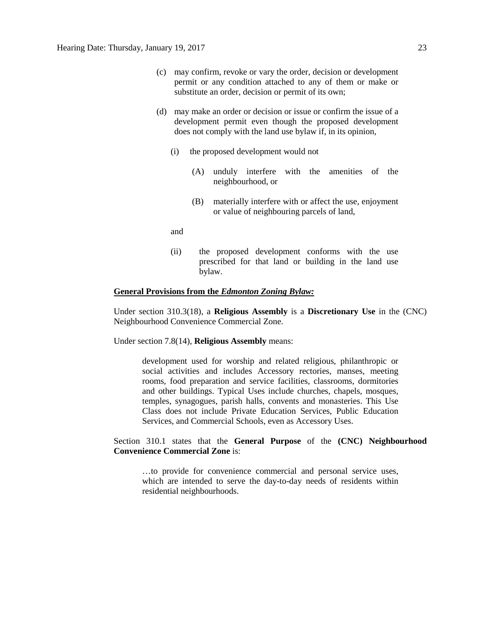- (c) may confirm, revoke or vary the order, decision or development permit or any condition attached to any of them or make or substitute an order, decision or permit of its own;
- (d) may make an order or decision or issue or confirm the issue of a development permit even though the proposed development does not comply with the land use bylaw if, in its opinion,
	- (i) the proposed development would not
		- (A) unduly interfere with the amenities of the neighbourhood, or
		- (B) materially interfere with or affect the use, enjoyment or value of neighbouring parcels of land,

and

(ii) the proposed development conforms with the use prescribed for that land or building in the land use bylaw.

#### **General Provisions from the** *Edmonton Zoning Bylaw:*

Under section 310.3(18), a **Religious Assembly** is a **Discretionary Use** in the (CNC) Neighbourhood Convenience Commercial Zone.

Under section 7.8(14), **Religious Assembly** means:

development used for worship and related religious, philanthropic or social activities and includes Accessory rectories, manses, meeting rooms, food preparation and service facilities, classrooms, dormitories and other buildings. Typical Uses include churches, chapels, mosques, temples, synagogues, parish halls, convents and monasteries. This Use Class does not include Private Education Services, Public Education Services, and Commercial Schools, even as Accessory Uses.

Section 310.1 states that the **General Purpose** of the **(CNC) Neighbourhood Convenience Commercial Zone** is:

…to provide for convenience commercial and personal service uses, which are intended to serve the day-to-day needs of residents within residential neighbourhoods.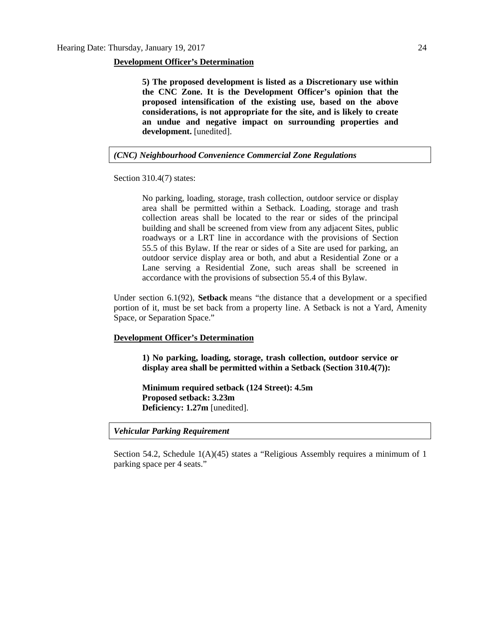#### **Development Officer's Determination**

**5) The proposed development is listed as a Discretionary use within the CNC Zone. It is the Development Officer's opinion that the proposed intensification of the existing use, based on the above considerations, is not appropriate for the site, and is likely to create an undue and negative impact on surrounding properties and development.** [unedited].

*(CNC) Neighbourhood Convenience Commercial Zone Regulations*

Section 310.4(7) states:

No parking, loading, storage, trash collection, outdoor service or display area shall be permitted within a Setback. Loading, storage and trash collection areas shall be located to the rear or sides of the principal building and shall be screened from view from any adjacent Sites, public roadways or a LRT line in accordance with the provisions of Section 55.5 of this Bylaw. If the rear or sides of a Site are used for parking, an outdoor service display area or both, and abut a Residential Zone or a Lane serving a Residential Zone, such areas shall be screened in accordance with the provisions of subsection 55.4 of this Bylaw.

Under section 6.1(92), **Setback** means "the distance that a development or a specified portion of it, must be set back from a property line. A Setback is not a Yard, Amenity Space, or Separation Space."

#### **Development Officer's Determination**

**1) No parking, loading, storage, trash collection, outdoor service or display area shall be permitted within a Setback (Section 310.4(7)):**

**Minimum required setback (124 Street): 4.5m Proposed setback: 3.23m Deficiency: 1.27m** [unedited].

*Vehicular Parking Requirement*

Section 54.2, Schedule 1(A)(45) states a "Religious Assembly requires a minimum of 1 parking space per 4 seats."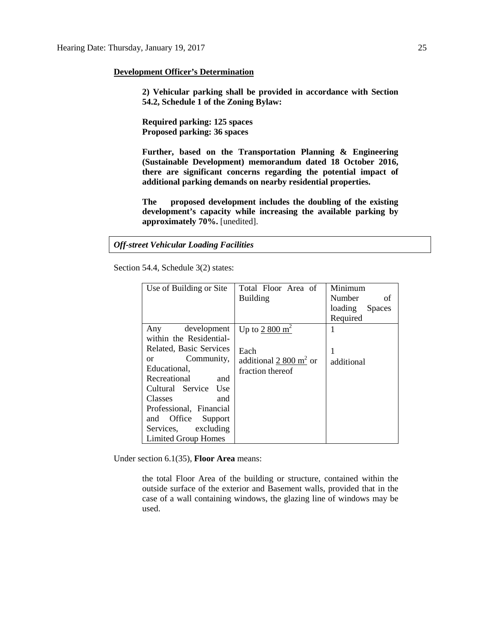#### **Development Officer's Determination**

**2) Vehicular parking shall be provided in accordance with Section 54.2, Schedule 1 of the Zoning Bylaw:**

**Required parking: 125 spaces Proposed parking: 36 spaces**

**Further, based on the Transportation Planning & Engineering (Sustainable Development) memorandum dated 18 October 2016, there are significant concerns regarding the potential impact of additional parking demands on nearby residential properties.** 

**The proposed development includes the doubling of the existing development's capacity while increasing the available parking by approximately 70%.** [unedited].

*Off-street Vehicular Loading Facilities*

Section 54.4, Schedule 3(2) states:

| Use of Building or Site     | Total Floor Area of      | Minimum                  |
|-----------------------------|--------------------------|--------------------------|
|                             | <b>Building</b>          | <b>Number</b><br>οf      |
|                             |                          | loading<br><b>Spaces</b> |
|                             |                          | Required                 |
| development<br>Any          | Up to $2800 \text{ m}^2$ | 1                        |
| within the Residential-     |                          |                          |
| Related, Basic Services     | Each                     | 1                        |
| Community,<br><sub>or</sub> | additional 2 800 $m2$ or | additional               |
| Educational,                | fraction thereof         |                          |
| Recreational<br>and         |                          |                          |
| Cultural Service Use        |                          |                          |
| Classes<br>and              |                          |                          |
| Professional, Financial     |                          |                          |
| Office Support<br>and       |                          |                          |
| Services, excluding         |                          |                          |
| <b>Limited Group Homes</b>  |                          |                          |

Under section 6.1(35), **Floor Area** means:

the total Floor Area of the building or structure, contained within the outside surface of the exterior and Basement walls, provided that in the case of a wall containing windows, the glazing line of windows may be used.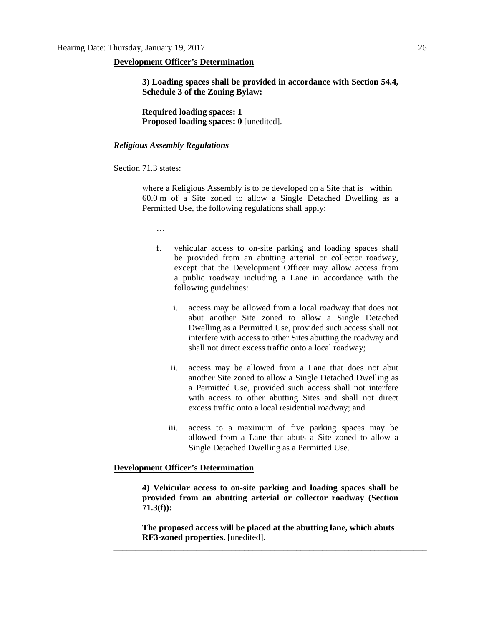#### **Development Officer's Determination**

**3) Loading spaces shall be provided in accordance with Section 54.4, Schedule 3 of the Zoning Bylaw:**

**Required loading spaces: 1 Proposed loading spaces: 0** [unedited].

#### *Religious Assembly Regulations*

Section 71.3 states:

where a [Religious Assembly](javascript:void(0);) is to be developed on a Site that is within 60.0 m of a Site zoned to allow a Single Detached Dwelling as a Permitted Use, the following regulations shall apply:

…

- f. vehicular access to on-site parking and loading spaces shall be provided from an abutting arterial or collector roadway, except that the Development Officer may allow access from a public roadway including a Lane in accordance with the following guidelines:
	- i. access may be allowed from a local roadway that does not abut another Site zoned to allow a Single Detached Dwelling as a Permitted Use, provided such access shall not interfere with access to other Sites abutting the roadway and shall not direct excess traffic onto a local roadway;
	- ii. access may be allowed from a Lane that does not abut another Site zoned to allow a Single Detached Dwelling as a Permitted Use, provided such access shall not interfere with access to other abutting Sites and shall not direct excess traffic onto a local residential roadway; and
	- iii. access to a maximum of five parking spaces may be allowed from a Lane that abuts a Site zoned to allow a Single Detached Dwelling as a Permitted Use.

#### **Development Officer's Determination**

**4) Vehicular access to on-site parking and loading spaces shall be provided from an abutting arterial or collector roadway (Section 71.3(f)):**

**The proposed access will be placed at the abutting lane, which abuts RF3-zoned properties.** [unedited]. \_\_\_\_\_\_\_\_\_\_\_\_\_\_\_\_\_\_\_\_\_\_\_\_\_\_\_\_\_\_\_\_\_\_\_\_\_\_\_\_\_\_\_\_\_\_\_\_\_\_\_\_\_\_\_\_\_\_\_\_\_\_\_\_\_\_\_\_\_\_\_\_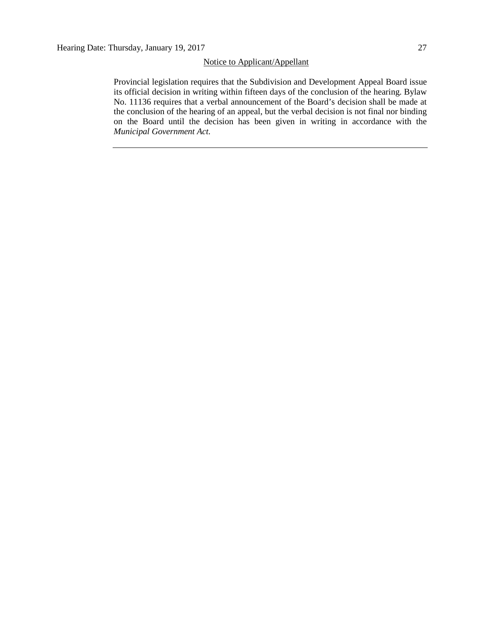#### Notice to Applicant/Appellant

Provincial legislation requires that the Subdivision and Development Appeal Board issue its official decision in writing within fifteen days of the conclusion of the hearing. Bylaw No. 11136 requires that a verbal announcement of the Board's decision shall be made at the conclusion of the hearing of an appeal, but the verbal decision is not final nor binding on the Board until the decision has been given in writing in accordance with the *Municipal Government Act.*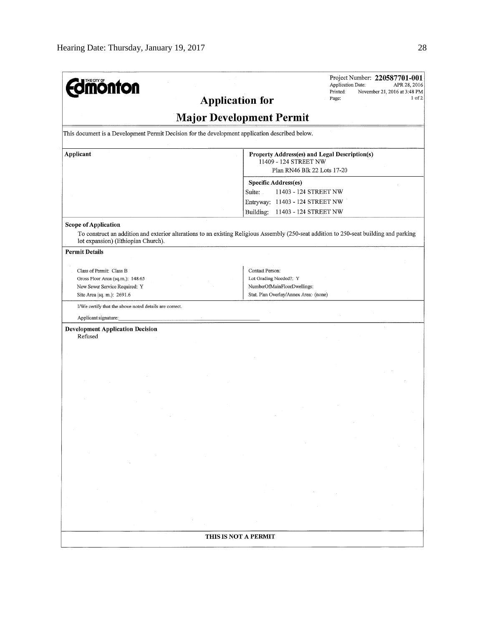| <b>dmönton</b>                                                                                                                                       | Project Number: 220587701-001<br>Application Date:<br>APR 28, 2016<br>Printed:<br>November 21, 2016 at 3:48 PM<br>1 of 2<br>Page:<br><b>Application for</b> |
|------------------------------------------------------------------------------------------------------------------------------------------------------|-------------------------------------------------------------------------------------------------------------------------------------------------------------|
|                                                                                                                                                      | <b>Major Development Permit</b>                                                                                                                             |
| This document is a Development Permit Decision for the development application described below.                                                      |                                                                                                                                                             |
| Applicant                                                                                                                                            | Property Address(es) and Legal Description(s)<br>11409 - 124 STREET NW<br>Plan RN46 Blk 22 Lots 17-20                                                       |
|                                                                                                                                                      | Specific Address(es)<br>11403 - 124 STREET NW<br>Suite:<br>Entryway: 11403 - 124 STREET NW<br>Building:<br>11403 - 124 STREET NW                            |
| <b>Scope of Application</b><br>lot expansion) (Ethiopian Church).                                                                                    | To construct an addition and exterior alterations to an existing Religious Assembly (250-seat addition to 250-seat building and parking                     |
| <b>Permit Details</b><br>Class of Permit: Class B<br>Gross Floor Area (sq.m.): 148.65<br>New Sewer Service Required: Y<br>Site Area (sq. m.): 2691.6 | Contact Person:<br>Lot Grading Needed?: Y<br>NumberOfMainFloorDwellings:<br>Stat. Plan Overlay/Annex Area: (none)                                           |
| I/We certify that the above noted details are correct.                                                                                               |                                                                                                                                                             |
| Applicant signature:                                                                                                                                 |                                                                                                                                                             |
| <b>Development Application Decision</b><br>Refused                                                                                                   |                                                                                                                                                             |
|                                                                                                                                                      |                                                                                                                                                             |
|                                                                                                                                                      |                                                                                                                                                             |
|                                                                                                                                                      |                                                                                                                                                             |
|                                                                                                                                                      |                                                                                                                                                             |
|                                                                                                                                                      | THIS IS NOT A PERMIT                                                                                                                                        |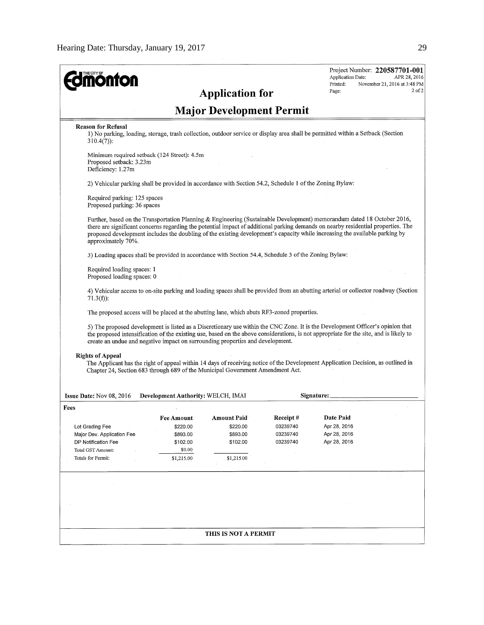| <b>nonton</b>                                                                                                                                                                                                                                                                                                                                                                                                                                                                                                                                                                                                                                                                                             |                                                                        | <b>Application for</b>                                               |                                              | Application Date:<br>Printed:<br>Page:                    | Project Number: 220587701-001<br>APR 28, 2016<br>November 21, 2016 at 3:48 PM<br>$2$ of $2$ |
|-----------------------------------------------------------------------------------------------------------------------------------------------------------------------------------------------------------------------------------------------------------------------------------------------------------------------------------------------------------------------------------------------------------------------------------------------------------------------------------------------------------------------------------------------------------------------------------------------------------------------------------------------------------------------------------------------------------|------------------------------------------------------------------------|----------------------------------------------------------------------|----------------------------------------------|-----------------------------------------------------------|---------------------------------------------------------------------------------------------|
|                                                                                                                                                                                                                                                                                                                                                                                                                                                                                                                                                                                                                                                                                                           |                                                                        | <b>Major Development Permit</b>                                      |                                              |                                                           |                                                                                             |
| <b>Reason for Refusal</b><br>1) No parking, loading, storage, trash collection, outdoor service or display area shall be permitted within a Setback (Section<br>$310.4(7)$ :                                                                                                                                                                                                                                                                                                                                                                                                                                                                                                                              |                                                                        |                                                                      |                                              |                                                           |                                                                                             |
| Minimum required setback (124 Street): 4.5m<br>Proposed setback: 3.23m<br>Deficiency: 1.27m                                                                                                                                                                                                                                                                                                                                                                                                                                                                                                                                                                                                               |                                                                        |                                                                      |                                              |                                                           |                                                                                             |
| 2) Vehicular parking shall be provided in accordance with Section 54.2, Schedule 1 of the Zoning Bylaw:                                                                                                                                                                                                                                                                                                                                                                                                                                                                                                                                                                                                   |                                                                        |                                                                      |                                              |                                                           |                                                                                             |
| Required parking: 125 spaces<br>Proposed parking: 36 spaces                                                                                                                                                                                                                                                                                                                                                                                                                                                                                                                                                                                                                                               |                                                                        |                                                                      |                                              |                                                           |                                                                                             |
| Further, based on the Transportation Planning & Engineering (Sustainable Development) memorandum dated 18 October 2016,<br>there are significant concerns regarding the potential impact of additional parking demands on nearby residential properties. The<br>proposed development includes the doubling of the existing development's capacity while increasing the available parking by<br>approximately 70%.                                                                                                                                                                                                                                                                                         |                                                                        |                                                                      |                                              |                                                           |                                                                                             |
| 3) Loading spaces shall be provided in accordance with Section 54.4, Schedule 3 of the Zoning Bylaw:                                                                                                                                                                                                                                                                                                                                                                                                                                                                                                                                                                                                      |                                                                        |                                                                      |                                              |                                                           |                                                                                             |
| Required loading spaces: 1<br>Proposed loading spaces: 0                                                                                                                                                                                                                                                                                                                                                                                                                                                                                                                                                                                                                                                  |                                                                        |                                                                      |                                              |                                                           |                                                                                             |
| 4) Vehicular access to on-site parking and loading spaces shall be provided from an abutting arterial or collector roadway (Section<br>$71.3(f)$ :                                                                                                                                                                                                                                                                                                                                                                                                                                                                                                                                                        |                                                                        |                                                                      |                                              |                                                           |                                                                                             |
| The proposed access will be placed at the abutting lane, which abuts RF3-zoned properties.<br>5) The proposed development is listed as a Discretionary use within the CNC Zone. It is the Development Officer's opinion that<br>the proposed intensification of the existing use, based on the above considerations, is not appropriate for the site, and is likely to<br>create an undue and negative impact on surrounding properties and development.<br><b>Rights of Appeal</b><br>The Applicant has the right of appeal within 14 days of receiving notice of the Development Application Decision, as outlined in<br>Chapter 24, Section 683 through 689 of the Municipal Government Amendment Act. |                                                                        |                                                                      |                                              |                                                           |                                                                                             |
| Issue Date: Nov 08, 2016                                                                                                                                                                                                                                                                                                                                                                                                                                                                                                                                                                                                                                                                                  | <b>Development Authority: WELCH, IMAI</b>                              |                                                                      |                                              | Signature:                                                |                                                                                             |
| Fees<br>Lot Grading Fee<br>Major Dev. Application Fee<br>DP Notification Fee<br><b>Total GST Amount:</b><br>Totals for Permit:                                                                                                                                                                                                                                                                                                                                                                                                                                                                                                                                                                            | Fee Amount<br>\$220.00<br>\$893.00<br>\$102.00<br>\$0.00<br>\$1,215.00 | <b>Amount Paid</b><br>\$220.00<br>\$893.00<br>\$102.00<br>\$1,215.00 | Receipt#<br>03239740<br>03239740<br>03239740 | Date Paid<br>Apr 28, 2016<br>Apr 28, 2016<br>Apr 28, 2016 |                                                                                             |
|                                                                                                                                                                                                                                                                                                                                                                                                                                                                                                                                                                                                                                                                                                           |                                                                        |                                                                      |                                              |                                                           |                                                                                             |
|                                                                                                                                                                                                                                                                                                                                                                                                                                                                                                                                                                                                                                                                                                           |                                                                        |                                                                      |                                              |                                                           |                                                                                             |
|                                                                                                                                                                                                                                                                                                                                                                                                                                                                                                                                                                                                                                                                                                           |                                                                        | THIS IS NOT A PERMIT                                                 |                                              |                                                           |                                                                                             |
|                                                                                                                                                                                                                                                                                                                                                                                                                                                                                                                                                                                                                                                                                                           |                                                                        |                                                                      |                                              |                                                           |                                                                                             |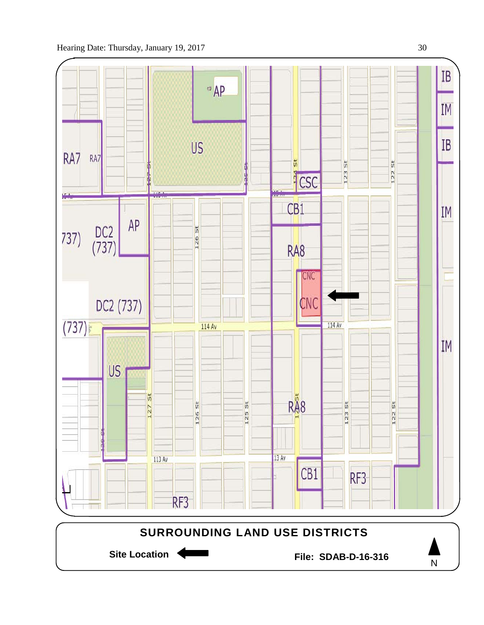